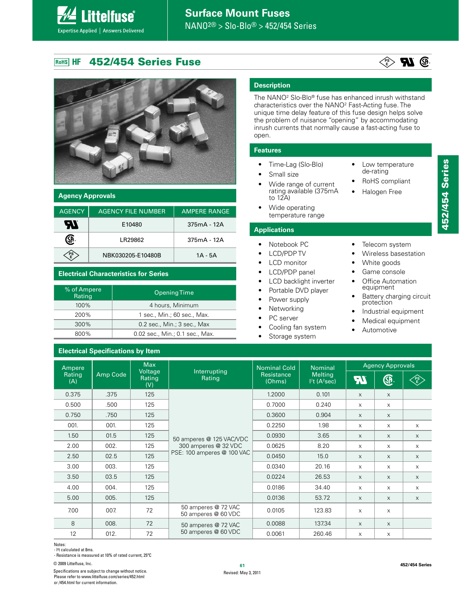#### **452/454 Series Fuse** ROHS HF

**Littelfuse**®

Expertise Applied | Answers Delivered



### **Agency Approvals**

| <b>AGENCY</b> | <b>AGENCY FILE NUMBER</b> | <b>AMPERE RANGE</b> |
|---------------|---------------------------|---------------------|
| an            | E10480                    | $375mA - 12A$       |
|               | I R29862                  | $375mA - 12A$       |
|               | NBK030205-F10480B         | 1A - 5A             |

### **Electrical Characteristics for Series**

| % of Ampere<br>Rating | <b>Opening Time</b>             |
|-----------------------|---------------------------------|
| $100\%$               | 4 hours, Minimum                |
| 200%                  | 1 sec., Min.; 60 sec., Max.     |
| $300\%$               | 0.2 sec., Min.; 3 sec., Max     |
| 800%                  | 0.02 sec., Min.; 0.1 sec., Max. |

### **Electrical Specifications by Item**

### **Description**

The NANO2 Slo-Blo® fuse has enhanced inrush withstand characteristics over the NANO2 Fast-Acting fuse. The unique time delay feature of this fuse design helps solve the problem of nuisance "opening" by accommodating inrush currents that normally cause a fast-acting fuse to open.

### **Features**

- Time-Lag (Slo-Blo)
- Small size
- Wide range of current rating available (375mA to 12A)
- Wide operating temperature range

### **Applications**

- Notebook PC
- LCD/PDP TV
- LCD monitor
- LCD/PDP panel
- LCD backlight inverter
- Portable DVD player
- Power supply
- Networking
- PC server
- Cooling fan system
- Storage system

Low temperature de-rating RoHS compliant Halogen Free

- Telecom system
- Wireless basestation
- White goods
- Game console
- Office Automation equipment
- Battery charging circuit<br>protection
- Industrial equipment
- Medical equipment
- Automotive

Max Agency Approvals Nominal Cold Ampere Nominal Interrupting Voltage Rating Amp Code **Resistance** Melting **Rating** Rating **An GP PS**  $(A)$ (Ohms)  $l^2$ t (A $^2$ sec) **E** (V)  $0.375$  | .375 | 125 1.2000  $\vert$  0.101  $\vert$  x  $\vert$  x 0.500 | .500 | 125 | | 0.7000 | 0.240 | x | x 0.750 | .750 | 125 | | 0.3600 | 0.904 | x | x 001. | 001. | 125 | | 0.2250 | 1.98 | x | x | x 1.50 01.5 125 50 amperes @ 125 VAC/VDC 0.0930 3.65 x x x 2.00 | 002. | 125 | 300 amperes @ 32 VDC | 0.0625 | 8.20 | x | x | x PSE: 100 amperes @ 100 VAC 2.50  $\begin{vmatrix} 0.2.5 \\ 0.2.5 \end{vmatrix}$  125  $\begin{vmatrix} 0.2.166 & 0.011 & 0.008 & 0.004 & 0.004 & 0.004 & 0.004 & 0.004 & 0.004 & 0.004 & 0.004 & 0.004 & 0.004 & 0.004 & 0.004 & 0.004 & 0.004 & 0.004 & 0.004 & 0.004 & 0.004 & 0.004 & 0.004 & 0.004 & 0.004 &$ 3.00 | 003. | 125 | | 0.0340 | 20.16 | x | x | x 3.50 | 03.5 | 125 | | 0.0224 | 26.53 | x | x | x 4.00 004. | 125 | | 0.0186 | 34.40 | x | x | x 5.00 | 005. | 125 | | 0.0136 | 53.72 | x | x | x  $\begin{array}{|c|c|c|c|c|c|c|c|}\n\hline\n\text{700} & \text{007} & \text{72} & \text{50 amperes} \ @{72 \text{ VAC}} \\
\hline\n\end{array}$ BO amperes @ 60 VDC | 0.0105 | 123.83 | x | x 8 008. 72 50 amperes @ 72 VAC  $0.0088$   $137.34$   $\times$   $\times$ 12 | 012. | 72 | 50 amperes @ $60$  VDC | 0.0061 | 260.46 | x | x

Notes:

- l2 t calculated at 8ms.

- Resistance is measured at 10% of rated current, 25ºC

**<sup>61</sup>** © 2009 Littelfuse, Inc.

Specifications are subject to change without notice. Please refer to www.littelfuse.com/series/452.html or /454.html for current information.

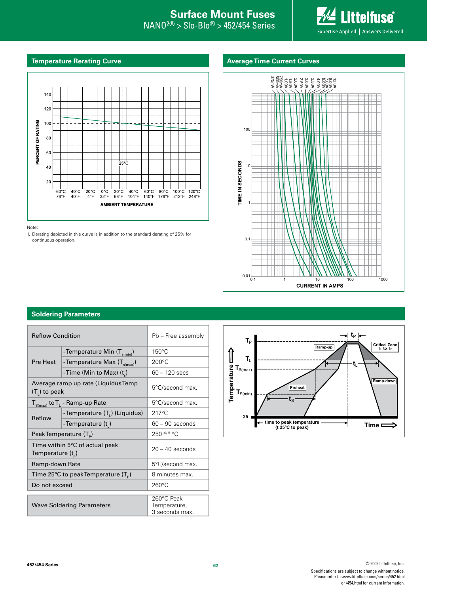# **Internal Surface Mount Fuses**

 $\mathsf{NANO^{2@}} > \mathsf{Slo}\text{-}\mathsf{Blo^@} > \mathsf{452/454}$  Series

**Littelfuse** Expertise Applied | Answers Delivered

### **Temperature Rerating Curve**

### **Average Time Current Curves**



Note:

1. Derating depicted in this curve is in addition to the standard derating of 25% for continuous operation.



### **Soldering Parameters**

| <b>Reflow Condition</b>                                   |                                            | Pb - Free assembly                           |
|-----------------------------------------------------------|--------------------------------------------|----------------------------------------------|
| Pre Heat                                                  | - Temperature Min (T <sub>s(min</sub> )    | 150°C                                        |
|                                                           | - Temperature Max (T <sub>s(max)</sub> )   | $200^{\circ}$ C                              |
|                                                           | -Time (Min to Max) $(t_s)$                 | $60 - 120$ secs                              |
| Average ramp up rate (Liquidus Temp<br>$(T1)$ to peak     |                                            | 5°C/second max.                              |
| $T_{S(max)}$ to $T_{L}$ - Ramp-up Rate                    |                                            | 5°C/second max.                              |
| Reflow                                                    | - Temperature (T <sub>1</sub> ) (Liquidus) | $217^{\circ}$ C                              |
|                                                           | - Temperature (t,)                         | $60 - 90$ seconds                            |
| Peak Temperature $(T_p)$                                  |                                            | 250+0/-5 °C                                  |
| Time within 5°C of actual peak<br>Temperature $(t_{n})$   |                                            | $20 - 40$ seconds                            |
| Ramp-down Rate                                            |                                            | 5°C/second max.                              |
| Time 25 $\degree$ C to peak Temperature (T <sub>o</sub> ) |                                            | 8 minutes max.                               |
| Do not exceed                                             |                                            | $260^{\circ}$ C                              |
| <b>Wave Soldering Parameters</b>                          |                                            | 260°C Peak<br>Temperature,<br>3 seconds max. |